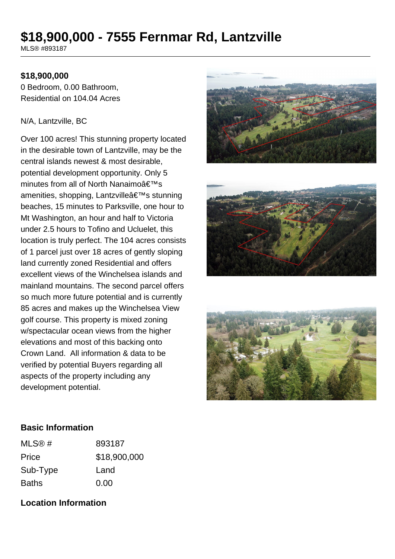# **\$18,900,000 - 7555 Fernmar Rd, Lantzville**

MLS® #893187

## **\$18,900,000**

0 Bedroom, 0.00 Bathroom, Residential on 104.04 Acres

#### N/A, Lantzville, BC

Over 100 acres! This stunning property located in the desirable town of Lantzville, may be the central islands newest & most desirable, potential development opportunity. Only 5 minutes from all of North Nanaimo $\hat{a} \in T^M s$ amenities, shopping, Lantzville's stunning beaches, 15 minutes to Parksville, one hour to Mt Washington, an hour and half to Victoria under 2.5 hours to Tofino and Ucluelet, this location is truly perfect. The 104 acres consists of 1 parcel just over 18 acres of gently sloping land currently zoned Residential and offers excellent views of the Winchelsea islands and mainland mountains. The second parcel offers so much more future potential and is currently 85 acres and makes up the Winchelsea View golf course. This property is mixed zoning w/spectacular ocean views from the higher elevations and most of this backing onto Crown Land. All information & data to be verified by potential Buyers regarding all aspects of the property including any development potential.







#### **Basic Information**

| MLS@#        | 893187       |
|--------------|--------------|
| Price        | \$18,900,000 |
| Sub-Type     | Land         |
| <b>Baths</b> | 0.00         |

## **Location Information**